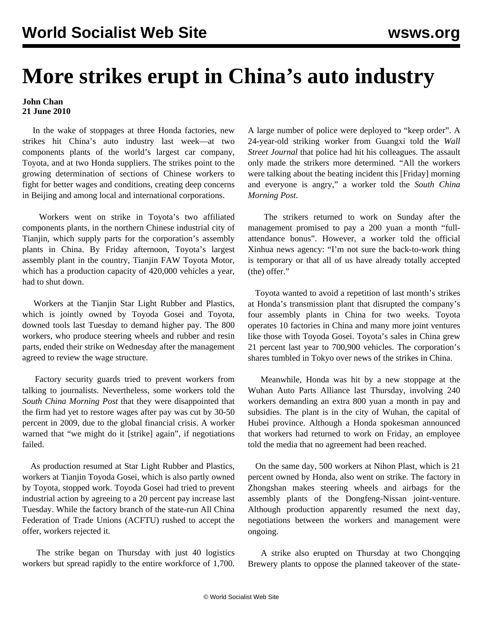## **More strikes erupt in China's auto industry**

## **John Chan 21 June 2010**

 In the wake of stoppages at three Honda factories, new strikes hit China's auto industry last week—at two components plants of the world's largest car company, Toyota, and at two Honda suppliers. The strikes point to the growing determination of sections of Chinese workers to fight for better wages and conditions, creating deep concerns in Beijing and among local and international corporations.

 Workers went on strike in Toyota's two affiliated components plants, in the northern Chinese industrial city of Tianjin, which supply parts for the corporation's assembly plants in China. By Friday afternoon, Toyota's largest assembly plant in the country, Tianjin FAW Toyota Motor, which has a production capacity of 420,000 vehicles a year, had to shut down.

 Workers at the Tianjin Star Light Rubber and Plastics, which is jointly owned by Toyoda Gosei and Toyota, downed tools last Tuesday to demand higher pay. The 800 workers, who produce steering wheels and rubber and resin parts, ended their strike on Wednesday after the management agreed to review the wage structure.

 Factory security guards tried to prevent workers from talking to journalists. Nevertheless, some workers told the *South China Morning Post* that they were disappointed that the firm had yet to restore wages after pay was cut by 30-50 percent in 2009, due to the global financial crisis. A worker warned that "we might do it [strike] again", if negotiations failed.

 As production resumed at Star Light Rubber and Plastics, workers at Tianjin Toyoda Gosei, which is also partly owned by Toyota, stopped work. Toyoda Gosei had tried to prevent industrial action by agreeing to a 20 percent pay increase last Tuesday. While the factory branch of the state-run All China Federation of Trade Unions (ACFTU) rushed to accept the offer, workers rejected it.

 The strike began on Thursday with just 40 logistics workers but spread rapidly to the entire workforce of 1,700. A large number of police were deployed to "keep order". A 24-year-old striking worker from Guangxi told the *Wall Street Journal* that police had hit his colleagues. The assault only made the strikers more determined. "All the workers were talking about the beating incident this [Friday] morning and everyone is angry," a worker told the *South China Morning Post*.

 The strikers returned to work on Sunday after the management promised to pay a 200 yuan a month "fullattendance bonus". However, a worker told the official Xinhua news agency: "I'm not sure the back-to-work thing is temporary or that all of us have already totally accepted (the) offer."

 Toyota wanted to avoid a repetition of last month's strikes at Honda's transmission plant that disrupted the company's four assembly plants in China for two weeks. Toyota operates 10 factories in China and many more joint ventures like those with Toyoda Gosei. Toyota's sales in China grew 21 percent last year to 700,900 vehicles. The corporation's shares tumbled in Tokyo over news of the strikes in China.

 Meanwhile, Honda was hit by a new stoppage at the Wuhan Auto Parts Alliance last Thursday, involving 240 workers demanding an extra 800 yuan a month in pay and subsidies. The plant is in the city of Wuhan, the capital of Hubei province. Although a Honda spokesman announced that workers had returned to work on Friday, an employee told the media that no agreement had been reached.

 On the same day, 500 workers at Nihon Plast, which is 21 percent owned by Honda, also went on strike. The factory in Zhongshan makes steering wheels and airbags for the assembly plants of the Dongfeng-Nissan joint-venture. Although production apparently resumed the next day, negotiations between the workers and management were ongoing.

 A strike also erupted on Thursday at two Chongqing Brewery plants to oppose the planned takeover of the state